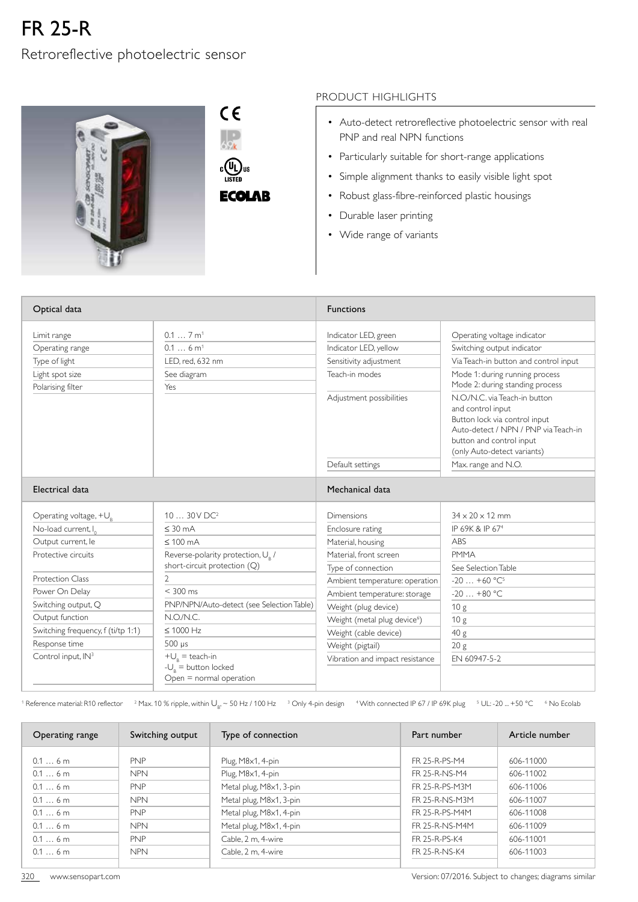## Retroreflective photoelectric sensor



## PRODUCT HIGHLIGHTS

- Auto-detect retroreflective photoelectric sensor with real PNP and real NPN functions
- Particularly suitable for short-range applications
- Simple alignment thanks to easily visible light spot
- Robust glass-fibre-reinforced plastic housings
- Durable laser printing
- Wide range of variants

| Optical data                       |                                                                            | <b>Functions</b>                         |                                                                                                                                                                                        |  |
|------------------------------------|----------------------------------------------------------------------------|------------------------------------------|----------------------------------------------------------------------------------------------------------------------------------------------------------------------------------------|--|
| Limit range                        | $0.17$ m <sup>1</sup>                                                      | Indicator LED, green                     | Operating voltage indicator                                                                                                                                                            |  |
| Operating range                    | $0.16$ m <sup>1</sup>                                                      | Indicator LED, yellow                    | Switching output indicator                                                                                                                                                             |  |
| Type of light                      | LED. red. 632 nm                                                           | Sensitivity adjustment                   | Via Teach-in button and control input                                                                                                                                                  |  |
| Light spot size                    | See diagram                                                                | Teach-in modes                           | Mode 1: during running process                                                                                                                                                         |  |
| Polarising filter                  | Yes.                                                                       |                                          | Mode 2: during standing process                                                                                                                                                        |  |
|                                    |                                                                            | Adjustment possibilities                 | N.O./N.C. via Teach-in button<br>and control input<br>Button lock via control input<br>Auto-detect / NPN / PNP via Teach-in<br>button and control input<br>(only Auto-detect variants) |  |
|                                    |                                                                            | Default settings                         | Max. range and N.O.                                                                                                                                                                    |  |
| Electrical data                    |                                                                            | Mechanical data                          |                                                                                                                                                                                        |  |
| Operating voltage, $+U_{R}$        | $1030V$ DC <sup>2</sup>                                                    | <b>Dimensions</b>                        | $34 \times 20 \times 12$ mm                                                                                                                                                            |  |
| No-load current, I <sub>0</sub>    | $\leq 30$ mA                                                               | Enclosure rating                         | IP 69K & IP 67 <sup>4</sup>                                                                                                                                                            |  |
| Output current, le                 | $\leq 100$ mA                                                              | Material, housing                        | ABS                                                                                                                                                                                    |  |
| Protective circuits                | Reverse-polarity protection, U <sub>B</sub> /                              | Material, front screen                   | <b>PMMA</b>                                                                                                                                                                            |  |
|                                    | short-circuit protection (Q)                                               | Type of connection                       | See Selection Table                                                                                                                                                                    |  |
| <b>Protection Class</b>            | $\overline{2}$                                                             | Ambient temperature: operation           | $-20+60$ °C <sup>5</sup>                                                                                                                                                               |  |
| Power On Delay                     | $< 300$ ms                                                                 | Ambient temperature: storage             | $-20+80 °C$                                                                                                                                                                            |  |
| Switching output, Q                | PNP/NPN/Auto-detect (see Selection Table)                                  | Weight (plug device)                     | 10 <sub>g</sub>                                                                                                                                                                        |  |
| Output function                    | N.O./N.C.                                                                  | Weight (metal plug device <sup>6</sup> ) | 10g                                                                                                                                                                                    |  |
| Switching frequency, f (ti/tp 1:1) | $\leq 1000$ Hz                                                             | Weight (cable device)                    | 40 g                                                                                                                                                                                   |  |
| Response time                      | $500 \mu s$                                                                | Weight (pigtail)                         | 20 g                                                                                                                                                                                   |  |
| Control input, IN3                 | $+U_{0}$ = teach-in<br>$-U_{0}$ = button locked<br>Open = normal operation | Vibration and impact resistance          | EN 60947-5-2                                                                                                                                                                           |  |

<sup>1</sup> Reference material: R10 reflector  $\,$   $\,^2$  Max. 10  $\,^8$  ripple, within U<sub>B</sub>  $\sim$  50 Hz / 100 Hz  $\,$   $\,^3$  Only 4-pin design  $\,$   $\,^4$  With connected IP 67 / IP 69K plug  $\,$   $\,^5$  UL: -20 ... +50  $\,^{\circ}$ C

| Operating range | Switching output | Type of connection      | Part number    | Article number |
|-----------------|------------------|-------------------------|----------------|----------------|
|                 |                  |                         |                |                |
| 0.16m           | <b>PNP</b>       | Plug, M8x1, 4-pin       | FR 25-R-PS-M4  | 606-11000      |
| 0.16m           | <b>NPN</b>       | Plug, M8x1, 4-pin       | FR 25-R-NS-M4  | 606-11002      |
| 0.16m           | <b>PNP</b>       | Metal plug, M8x1, 3-pin | FR 25-R-PS-M3M | 606-11006      |
| 0.16m           | <b>NPN</b>       | Metal plug, M8x1, 3-pin | FR 25-R-NS-M3M | 606-11007      |
| 0.16m           | <b>PNP</b>       | Metal plug, M8x1, 4-pin | FR 25-R-PS-M4M | 606-11008      |
| 0.16m           | <b>NPN</b>       | Metal plug, M8x1, 4-pin | FR 25-R-NS-M4M | 606-11009      |
| 0.16m           | <b>PNP</b>       | Cable, 2 m, 4-wire      | FR 25-R-PS-K4  | 606-11001      |
| 0.16m           | <b>NPN</b>       | Cable, 2 m. 4-wire      | FR 25-R-NS-K4  | 606-11003      |
|                 |                  |                         |                |                |